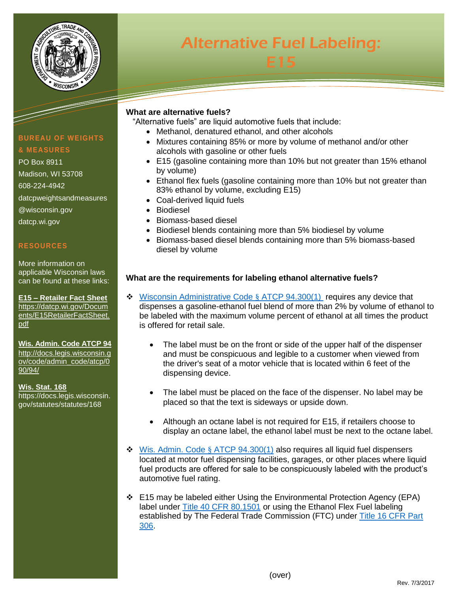

# **Informative Fuel Labeling** Alternative Fuel Labeling: E15

## **What are alternative fuels?**

"Alternative fuels" are liquid automotive fuels that include:

- Methanol, denatured ethanol, and other alcohols
- Mixtures containing 85% or more by volume of methanol and/or other alcohols with gasoline or other fuels
- E15 (gasoline containing more than 10% but not greater than 15% ethanol by volume)
- Ethanol flex fuels (gasoline containing more than 10% but not greater than 83% ethanol by volume, excluding E15)
- Coal-derived liquid fuels
- Biodiesel
- Biomass-based diesel
- Biodiesel blends containing more than 5% biodiesel by volume
- Biomass-based diesel blends containing more than 5% biomass-based diesel by volume

# **What are the requirements for labeling ethanol alternative fuels?**

- $\cdot$  [Wisconsin Administrative Code](http://docs.legis.wisconsin.gov/code/admin_code/atcp/090/94/III/300/1) § ATCP 94.300(1) requires any device that dispenses a gasoline-ethanol fuel blend of more than 2% by volume of ethanol to be labeled with the maximum volume percent of ethanol at all times the product is offered for retail sale.
	- The label must be on the front or side of the upper half of the dispenser and must be conspicuous and legible to a customer when viewed from the driver's seat of a motor vehicle that is located within 6 feet of the dispensing device.
	- The label must be placed on the face of the dispenser. No label may be placed so that the text is sideways or upside down.
	- Although an octane label is not required for E15, if retailers choose to display an octane label, the ethanol label must be next to the octane label.
- $\div$  [Wis. Admin. Code](http://docs.legis.wisconsin.gov/code/admin_code/atcp/090/94/III/300/1) § ATCP 94.300(1) also requires all liquid fuel dispensers located at motor fuel dispensing facilities, garages, or other places where liquid fuel products are offered for sale to be conspicuously labeled with the product's automotive fuel rating.
- E15 may be labeled either Using the Environmental Protection Agency (EPA) label under [Title 40 CFR 80.1501](http://www.ecfr.gov/cgi-bin/text-idx?SID=0823d97bb4a6851d746c39e7755fd632&mc=true&node=se40.19.80_11501&rgn=div8) or using the Ethanol Flex Fuel labeling established by The Federal Trade Commission (FTC) under [Title 16 CFR Part](http://www.ecfr.gov/cgi-bin/retrieveECFR?gp=&SID=2799be9e65ec3d47bde6f41eef826bf0&mc=true&n=pt16.1.306&r=PART&ty=HTML#se16.1.306_112)  [306.](http://www.ecfr.gov/cgi-bin/retrieveECFR?gp=&SID=2799be9e65ec3d47bde6f41eef826bf0&mc=true&n=pt16.1.306&r=PART&ty=HTML#se16.1.306_112)

# **BUREAU OF WEIGHTS & MEASURES**

#### PO Box 8911

Madison, WI 53708 608-224-4942 datcpweightsandmeasures @wisconsin.gov datcp.wi.gov

### **RESOURCES**

More information on applicable Wisconsin laws can be found at these links:

**E15 – Retailer Fact Sheet** [https://datcp.wi.gov/Docum](https://datcp.wi.gov/Documents/E15RetailerFactSheet.pdf) [ents/E15RetailerFactSheet.](https://datcp.wi.gov/Documents/E15RetailerFactSheet.pdf) [pdf](https://datcp.wi.gov/Documents/E15RetailerFactSheet.pdf)

# **Wis. Admin. Code ATCP 94**

[http://docs.legis.wisconsin.g](http://docs.legis.wisconsin.gov/code/admin_code/atcp/090/94/) [ov/code/admin\\_code/atcp/0](http://docs.legis.wisconsin.gov/code/admin_code/atcp/090/94/) [90/94/](http://docs.legis.wisconsin.gov/code/admin_code/atcp/090/94/)

**Wis. Stat. 168** https://docs.legis.wisconsin. gov/statutes/statutes/168